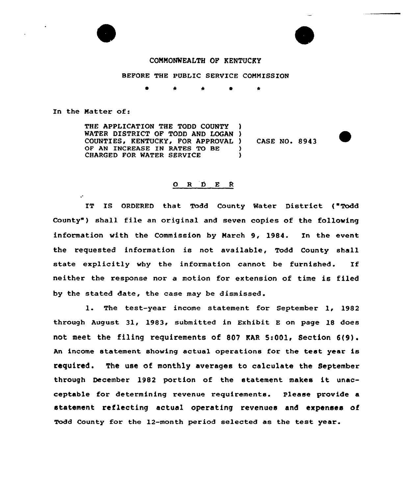

## COMMONWEALTH OF KENTUCKY

BEFORE THE PUBLIC SERVICE COMMISSION

0 \* \* 0 \*

In the Matter of:

 $\ddot{\phantom{a}}$ 

THE APPLICATION THE TODD COUNTY WATER DISTRICT OF TODD AND LOGAN ) COUNTIES, KENTUCKY, FOR APPROVAL ) OF AN INCREASE IN RATES TO BE CHARGED FOR WATER SERVICE

CASE NO. 8943

## $O$  R  $D$  E R

IT IS ORDERED that Todd County Water District ( Todd County") shall file an original and seven copies of the following information vith the Commission by March 9, 1984. In the event the requested information is not available, Todd County shall state explicitly vhy the information cannot be furnished. If neither the response nor a motion for extension of time is filed by the stated date, the case may be dismissed.

1. The test-year income statement for September 1, <sup>1982</sup> through August 31, 1983, submitted in Exhibit <sup>E</sup> on page 18 does not meet the filing requirements of <sup>807</sup> KAR 5:001, Section 6{9). An income statement shoving actual operations for the test year is required. The use of monthly averages to calculate the September through December 1982 portion of the statement makes it unacceptable for determining revenue requirements. Please provide a statement reflecting actual operating revenues and expenses of Todd County for the 12-month period selected as the test year.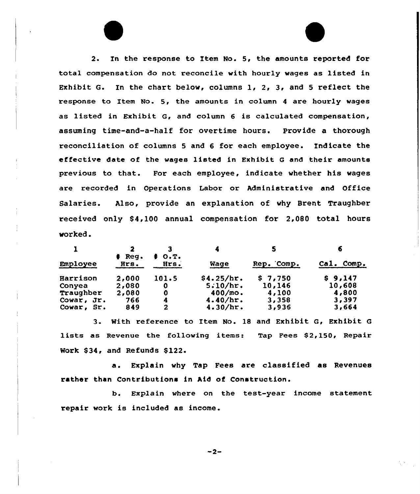2. In the response to Item No. 5, the amounts reported for total compensation do not reconcile with hourly wages as listed in Exhibit G. In the chart. below, columns 1, 2, 3, and <sup>5</sup> reflect the response to Item No. 5, the amounts in column 4 are hourly wages as listed in Exhibit G, and column <sup>6</sup> is calculated compensation, assuming time-and-a-half for overtime hours. Provide a thorough reconciliation of columns <sup>5</sup> and 6 for each employee. Indicate the effective date of the wages listed in Exhibit <sup>G</sup> and their amounts previous to that. For each employee, indicate whether his wages are recorded in Operations Labor or Administrative and Office Salaries. Also, provide an explanation of why Brent Traughber xeceived only S4,100 annual compensation fox 2,080 total hours wox'ked.

|            |                  | O.T.         |             | 5          | 6             |  |
|------------|------------------|--------------|-------------|------------|---------------|--|
| Employee   | $#$ Reg.<br>Hrs. | Hrs.         | <b>Wage</b> | Rep. Comp. | Cal.<br>Comp. |  |
| Harrison   | 2,000            | 101.5        | \$4.25/hr.  | \$7,750    | \$9,147       |  |
| Conyea     | 2,080            | 0            | 5.10/hr.    | 10,146     | 10,608        |  |
| Traughber  | 2,080            | 0            | $400/m$ o.  | 4,100      | 4,800         |  |
| Cowar, Jr. | 766              | 4            | 4.40/hr.    | 3,358      | 3,397         |  |
| Cowar, Sr. | 849              | $\mathbf{2}$ | 4.30/hr.    | 3,936      | 3,664         |  |

3. With reference to Item No. 18 and Exhibit G, Exhibit <sup>G</sup> lists as Revenue the following items: Tap Fees S2,150, Repair Work S34, and Refunds S122.

a. Explain why Tap Fees are classified as Revenues rather than Contributions in Aid of Construction.

b. Explain where on the test-year income statement repair work is included as income.

 $-2-$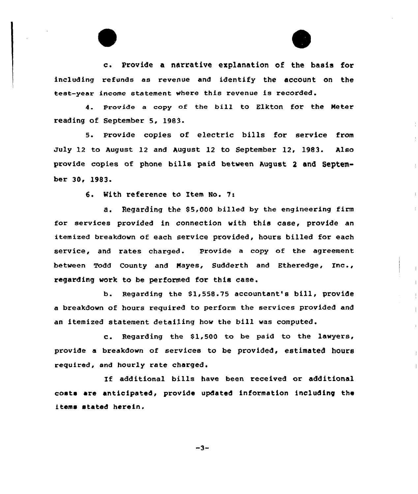c. Provide <sup>a</sup> narrative explanation of the basis for including refunds as revenue and identify the account on the test-year income statement where this revenue is recorded.

4. provide <sup>a</sup> copy of the bill to Elkton for the Meter reading of September 5, 1983.

5. Provide copies of electric bills for service from July 12 to August 12 and August 12 to September 12, 1983. Also provide copies of phone bills paid between August <sup>2</sup> and September 30, 1983.

6. Nith reference to Item No. 7:

a. Regarding the \$5,000 billed by the engineering firm for services provided in connection with this case, provide an itemized breakdown of each service provided, hours billed for each service, and rates charged. Provide a copy of the agreement between Todd County and Mayes, Sudderth and Etheredge, Inc., regarding work to be performed for this case.

b. Regarding the \$1,558.75 accountant's bill, provide a breakdown of hours reguired to perform the services provided and an itemized statement detailing how the bill was computed.

c. Regarding the \$1,500 to be paid to the lawyers, provide a breakdown of services to be provided, estimated hours required, and hourly rate charged.

If additional bills have been received or additional costs are anticipated, provide updated information including the items stated herein.

 $-3-$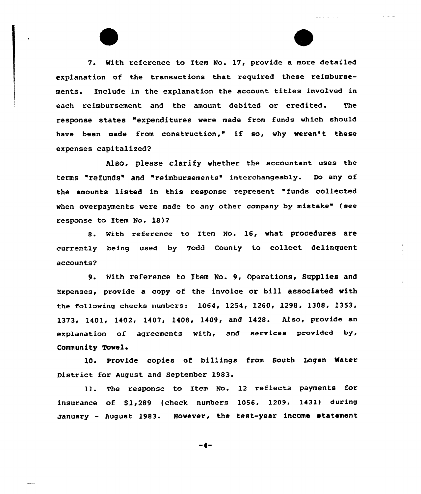7. With reference to Item No. 17, provide a more detailed explanation of the transactions that required these reimbursements. Include in the explanation the account titles involved in each reimbursement and the amount debited or credited. The response states "expenditures were made from funds which should have been made from construction," if so, why weren't these expenses capitalized?

Also, please clarify whether the accountant uses the terms "refunds" and "reimbursements" interchangeably. Do any of the amounts listed in this response represent "funds collected when overpayments were made to any other company by mistake" (see response to Item No. 18)?

8. With reference to Item No. 16, what procedures are currently being used by Todd County to collect delinquent accounts?

9. With reference to Item No. 9, Operations, Supplies and Expenses, provide a copy of the invoice or bill associated with the following checks numbers: 1064, 1254, 1260, 1298, 1308, 1353, 1373, 1401, 1402, 1407, 1408, 1409, and 1428. Also, provide an explanation of agreements with, and services provided by, Community Towel <sup>~</sup>

10. Provide copies of billings from South Logan Water District for August and September 1983.

11. The response to Item No. 12 reflects payments for insurance of  $$1,289$  (check numbers 1056, 1209, 1431) during january - August 1983. However, the test-year income statement

-4-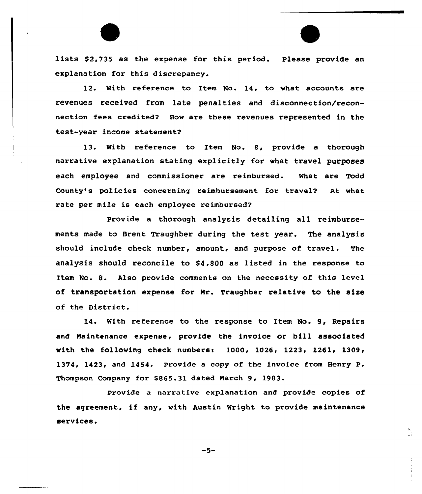lists \$2,735 as the expense for this period. Please provide an explanation for this discrepancy.

12. With reference to Item No. 14, to what accounts are revenues received from late penalties and disconnection/reconnection fees credited? How are these revenues represented in the test-year income statement?

13. With reference to Item No. 8, provide a thorough narrative explanation stating explicitly for what travel purposes each employee and commissioner are reimbursed. What are Todd County's policies concerning reimbursement for travel? At what rate per mile is each employee reimbursed?

Provide a thorough analysis detailing all reimbursements made to Brent Traughber during the test year. The analysis should include check number, amount, and purpose of travel. The analysis should reconcile to  $$4,800$  as listed in the response to Item No. 8. Also provide comments on the necessity of this level of transportation expense for Mr. Traughber relative to the size of the District.

14. With reference to the response to Item No. 9, Repairs and Maintenance expense, provide the invoice or bill associated with the following check numbers:  $1000$ ,  $1026$ ,  $1223$ ,  $1261$ ,  $1309$ , 1374, 1423, and 1454. Provide a copy of the invoice from Henry P. Thompson Company for \$865.31 dated March 9, 1983.

Provide a narrative explanation and provide copies of the agreement, if any, with Austin Wright to provide maintenance services.

сť.

 $-5-$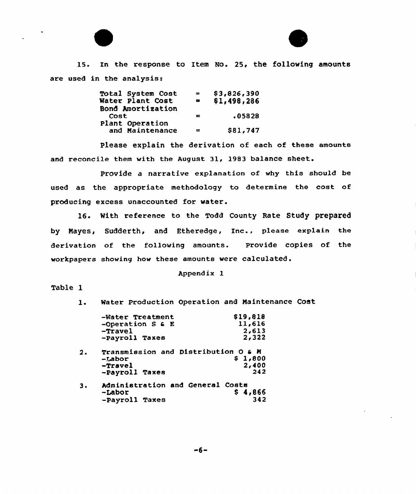



15. In the response to Item No. 25, the following amounts are used in the analysis:

| $=$    | \$3,826,390 |
|--------|-------------|
|        | \$1,498,286 |
|        |             |
| 苹      | .05828      |
|        |             |
| $\sim$ | \$81,747    |
|        |             |

Please explain the derivation of each of these amounts and reconcile them with the August 31, 1983 balance sheet.

Provide a narrative explanation of why this should be used as the appropriate methodology to determine the cost of producing excess unaccounted for water.

16. With reference to the Todd County Rate Study prepared by Mayes, Sudderth, and Etheredge, Inc., please explain the derivation of the following amounts. Provide copies of the workpapers showing how these amounts were calculated.

## Appendix 1

## Table 1

1. Water Production Operation and Maintenance Cost

| 11,616<br>2,613                     |  |  |  |  |  |
|-------------------------------------|--|--|--|--|--|
|                                     |  |  |  |  |  |
| 2,322                               |  |  |  |  |  |
| Transmission and Distribution O & M |  |  |  |  |  |
| \$1,800                             |  |  |  |  |  |
| 2,400                               |  |  |  |  |  |
| 242                                 |  |  |  |  |  |
| Administration and General Costs    |  |  |  |  |  |
| \$4,866                             |  |  |  |  |  |
| 342                                 |  |  |  |  |  |
|                                     |  |  |  |  |  |